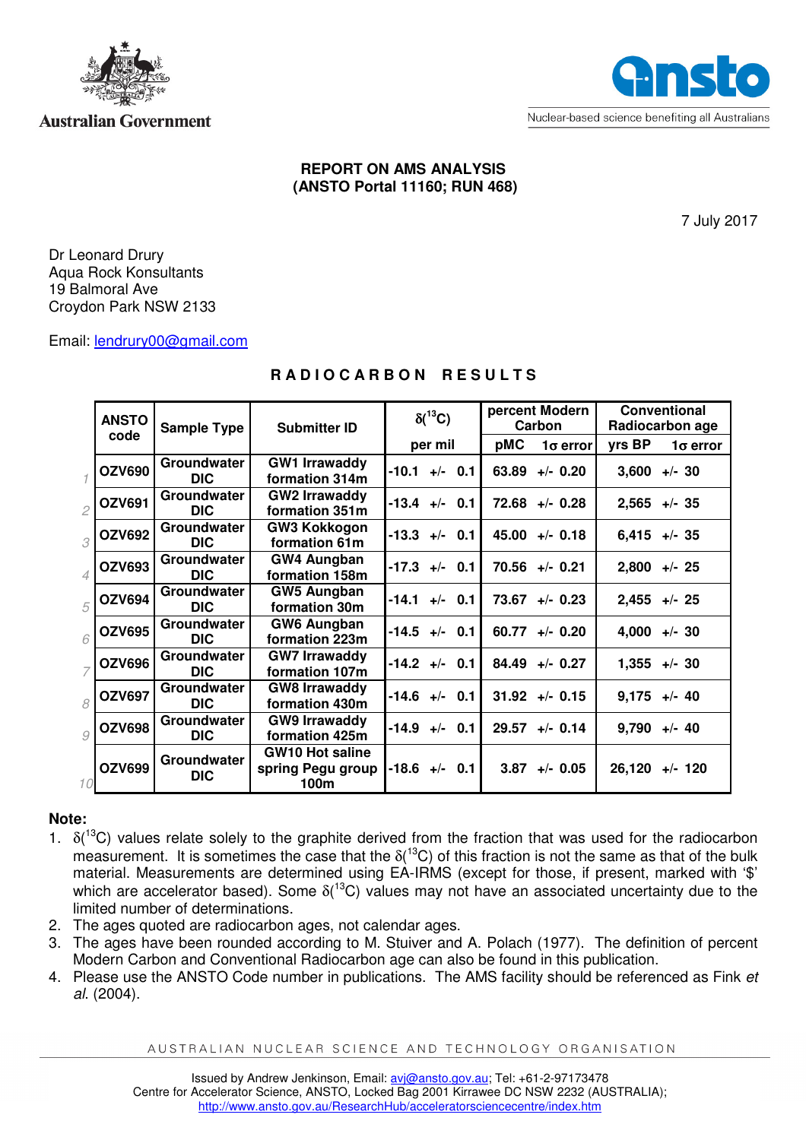

### **Australian Government**



#### **REPORT ON AMS ANALYSIS (ANSTO Portal 11160; RUN 468)**

7 July 2017

Dr Leonard Drury Aqua Rock Konsultants 19 Balmoral Ave Croydon Park NSW 2133

Email: lendrury00@gmail.com

# **R A D I O C A R B O N R E S U L T S**

|                          | <b>ANSTO</b>  | <b>Sample Type</b>        | <b>Submitter ID</b>                                 | $\delta(^{13}C)$        | percent Modern<br>Carbon | Conventional<br>Radiocarbon age |
|--------------------------|---------------|---------------------------|-----------------------------------------------------|-------------------------|--------------------------|---------------------------------|
|                          | code          |                           |                                                     | per mil                 | pMC<br>$1\sigma$ error   | yrs BP<br>$1\sigma$ error       |
|                          | <b>OZV690</b> | Groundwater<br><b>DIC</b> | <b>GW1 Irrawaddy</b><br>formation 314m              | $-10.1$<br>$+/-$ 0.1    | 63.89<br>$+/- 0.20$      | $3,600 +/- 30$                  |
| $\overline{c}$           | <b>OZV691</b> | Groundwater<br><b>DIC</b> | <b>GW2 Irrawaddy</b><br>formation 351m              | $-13.4$ +/- 0.1         | $72.68$ +/- 0.28         | $2,565$ +/- 35                  |
| 3                        | <b>OZV692</b> | Groundwater<br><b>DIC</b> | <b>GW3 Kokkogon</b><br>formation 61m                | $-13.3$ +/- 0.1         | $45.00 +/- 0.18$         | $6,415$ +/- 35                  |
| $\overline{\mathcal{A}}$ | <b>OZV693</b> | Groundwater<br><b>DIC</b> | GW4 Aungban<br>formation 158m                       | $-17.3$ +/- 0.1         | $70.56$ +/- 0.21         | $2,800 + -25$                   |
| 5                        | <b>OZV694</b> | Groundwater<br><b>DIC</b> | <b>GW5 Aungban</b><br>formation 30m                 | $-14.1$<br>$+/-$ 0.1    | 73.67<br>$+/-$ 0.23      | $2,455$ +/- 25                  |
| 6                        | <b>OZV695</b> | Groundwater<br><b>DIC</b> | <b>GW6 Aungban</b><br>formation 223m                | $-14.5$ +/- 0.1         | 60.77<br>$+/- 0.20$      | $4,000 +/- 30$                  |
|                          | <b>OZV696</b> | Groundwater<br><b>DIC</b> | <b>GW7 Irrawaddy</b><br>formation 107m              | $-14.2$ +/- 0.1         | 84.49<br>$+/- 0.27$      | $1,355 + - 30$                  |
| 8                        | <b>OZV697</b> | Groundwater<br><b>DIC</b> | <b>GW8 Irrawaddy</b><br>formation 430m              | $-14.6$<br>$+/-$<br>0.1 | $31.92 + - 0.15$         | $9,175 +/- 40$                  |
| 9                        | <b>OZV698</b> | Groundwater<br><b>DIC</b> | <b>GW9 Irrawaddy</b><br>formation 425m              | $-14.9$<br>$+/-$ 0.1    | 29.57<br>$+/-$ 0.14      | 9,790<br>$+/- 40$               |
| 10                       | <b>OZV699</b> | Groundwater<br><b>DIC</b> | <b>GW10 Hot saline</b><br>spring Pegu group<br>100m | $-18.6$ +/-<br>0.1      | 3.87<br>$+/-$ 0.05       | 26,120<br>$+/- 120$             |

# **Note:**

- 1.  $\delta(^{13}C)$  values relate solely to the graphite derived from the fraction that was used for the radiocarbon measurement. It is sometimes the case that the  $\delta(^{13}C)$  of this fraction is not the same as that of the bulk material. Measurements are determined using EA-IRMS (except for those, if present, marked with '\$' which are accelerator based). Some  $\delta(^{13}C)$  values may not have an associated uncertainty due to the limited number of determinations.
- 2. The ages quoted are radiocarbon ages, not calendar ages.
- 3. The ages have been rounded according to M. Stuiver and A. Polach (1977). The definition of percent Modern Carbon and Conventional Radiocarbon age can also be found in this publication.
- 4. Please use the ANSTO Code number in publications. The AMS facility should be referenced as Fink et al. (2004).

AUSTRALIAN NUCLEAR SCIENCE AND TECHNOLOGY ORGANISATION